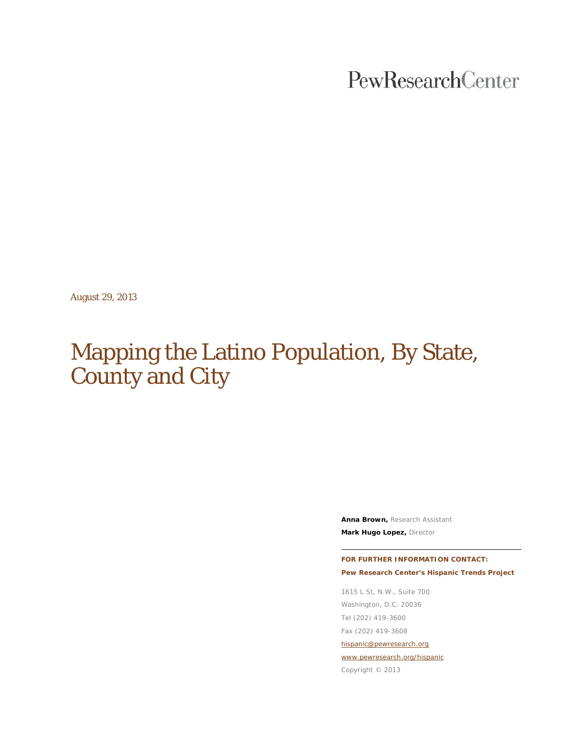PewResearchCenter

August 29, 2013

# Mapping the Latino Population, By State, County and City

**Anna Brown,** Research Assistant **Mark Hugo Lopez,** Director

**FOR FURTHER INFORMATION CONTACT: Pew Research Center's Hispanic Trends Project**

1615 L St, N.W., Suite 700 Washington, D.C. 20036 Tel (202) 419-3600 Fax (202) 419-3608 [hispanic@pewresearch.org](mailto:hispanic@pewresearch.org) [www.pewresearch.org/hispanic](http://www.pewresearch.org/hispanic)

Copyright © 2013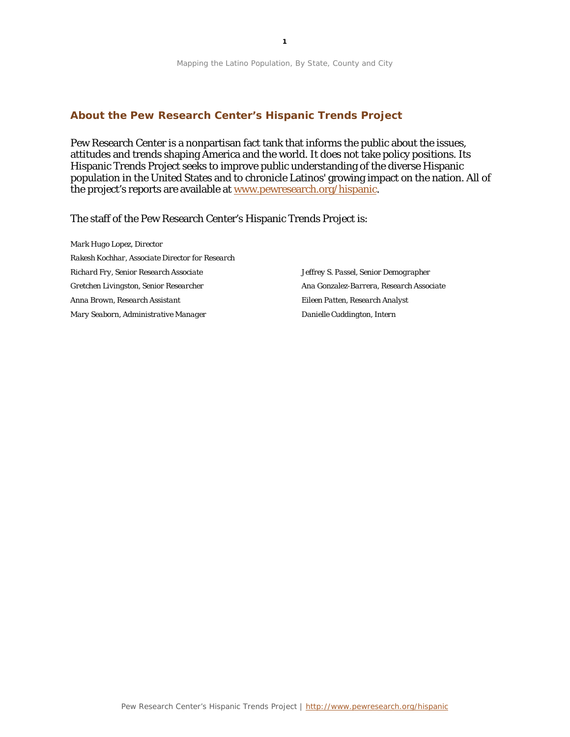## **About the Pew Research Center's Hispanic Trends Project**

Pew Research Center is a nonpartisan fact tank that informs the public about the issues, attitudes and trends shaping America and the world*.* It does not take policy positions. Its Hispanic Trends Project seeks to improve public understanding of the diverse Hispanic population in the United States and to chronicle Latinos' growing impact on the nation. All of the project's reports are available at [www.pewresearch.org/hispanic.](http://www.pewresearch.org/hispanic)

The staff of the Pew Research Center's Hispanic Trends Project is:

*Mark Hugo Lopez, Director Rakesh Kochhar, Associate Director for Research Richard Fry, Senior Research Associate Gretchen Livingston, Senior Researcher Anna Brown, Research Assistant Mary Seaborn, Administrative Manager*

*Jeffrey S. Passel, Senior Demographer Ana Gonzalez-Barrera, Research Associate Eileen Patten, Research Analyst Danielle Cuddington, Intern*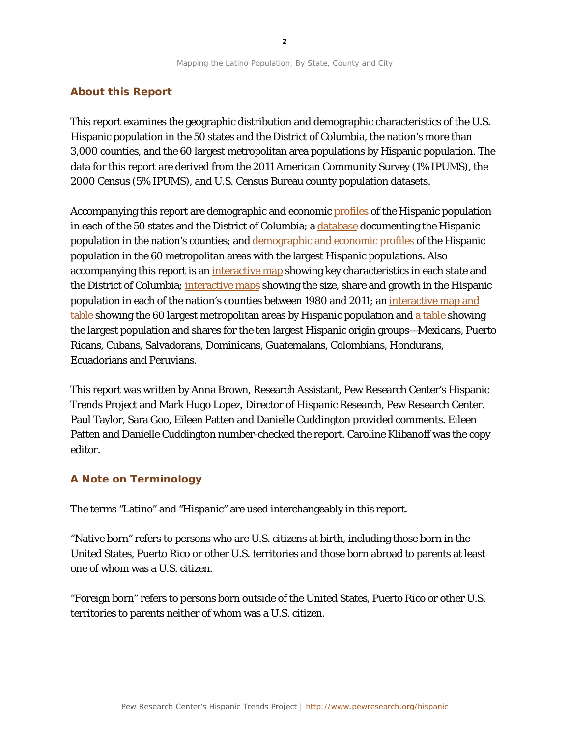## **About this Report**

This report examines the geographic distribution and demographic characteristics of the U.S. Hispanic population in the 50 states and the District of Columbia, the nation's more than 3,000 counties, and the 60 largest metropolitan area populations by Hispanic population. The data for this report are derived from the 2011 American Community Survey (1% IPUMS), the 2000 Census (5% IPUMS), and U.S. Census Bureau county population datasets.

Accompanying this report are demographic and economic [profiles](http://www.pewhispanic.org/states/) of the Hispanic population in each of the 50 states and the District of Columbia; a [database](http://www.pewhispanic.org/states/) documenting the Hispanic population in the nation's counties; and [demographic and economic profiles](http://www.pewhispanic.org/2013/08/29/hispanic-population-in-select-u-s-metropolitan-areas-2011/) of the Hispanic population in the 60 metropolitan areas with the largest Hispanic populations. Also accompanying this report is an *interactive map* showing key characteristics in each state and the District of Columbia; [interactive maps](http://www.pewhispanic.org/2013/08/29/u-s-hispanic-population-by-county-1980-2011/) showing the size, share and growth in the Hispanic population in each of the nation's counties between 1980 and 2011; an [interactive map](http://www.pewhispanic.org/2013/08/29/hispanic-population-in-select-u-s-metropolitan-areas-2011/) and [table](http://www.pewhispanic.org/2013/08/29/hispanic-population-in-select-u-s-metropolitan-areas-2011/) showing the 60 largest metropolitan areas by Hispanic population and [a table](http://www.pewhispanic.org/2012/06/27/regional-distribution-of-hispanic-origin-groups/) showing the largest population and shares for the ten largest Hispanic origin groups—Mexicans, Puerto Ricans, Cubans, Salvadorans, Dominicans, Guatemalans, Colombians, Hondurans, Ecuadorians and Peruvians.

This report was written by Anna Brown, Research Assistant, Pew Research Center's Hispanic Trends Project and Mark Hugo Lopez, Director of Hispanic Research, Pew Research Center. Paul Taylor, Sara Goo, Eileen Patten and Danielle Cuddington provided comments. Eileen Patten and Danielle Cuddington number-checked the report. Caroline Klibanoff was the copy editor.

## **A Note on Terminology**

The terms "Latino" and "Hispanic" are used interchangeably in this report.

"Native born" refers to persons who are U.S. citizens at birth, including those born in the United States, Puerto Rico or other U.S. territories and those born abroad to parents at least one of whom was a U.S. citizen.

"Foreign born" refers to persons born outside of the United States, Puerto Rico or other U.S. territories to parents neither of whom was a U.S. citizen.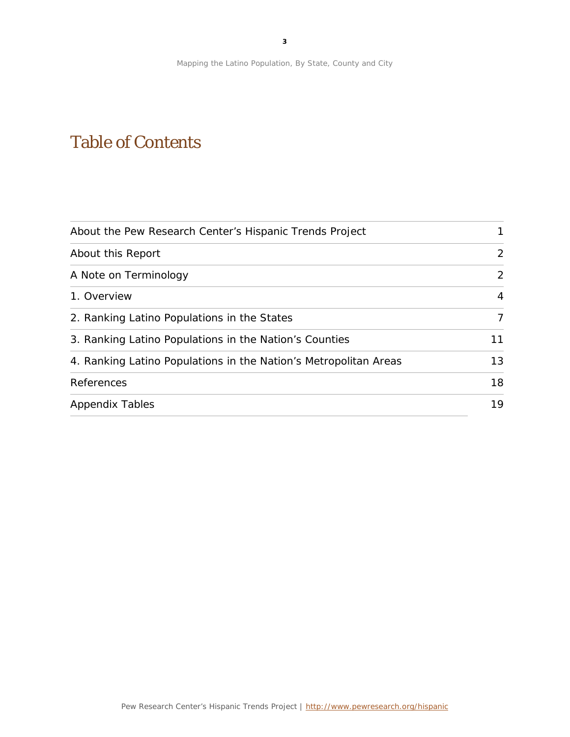# Table of Contents

| About the Pew Research Center's Hispanic Trends Project          | 1              |
|------------------------------------------------------------------|----------------|
| About this Report                                                | $\overline{2}$ |
| A Note on Terminology                                            | $\overline{2}$ |
| 1. Overview                                                      | $\overline{4}$ |
| 2. Ranking Latino Populations in the States                      | 7              |
| 3. Ranking Latino Populations in the Nation's Counties           | 11             |
| 4. Ranking Latino Populations in the Nation's Metropolitan Areas | 13             |
| References                                                       | 18             |
| <b>Appendix Tables</b>                                           | 19             |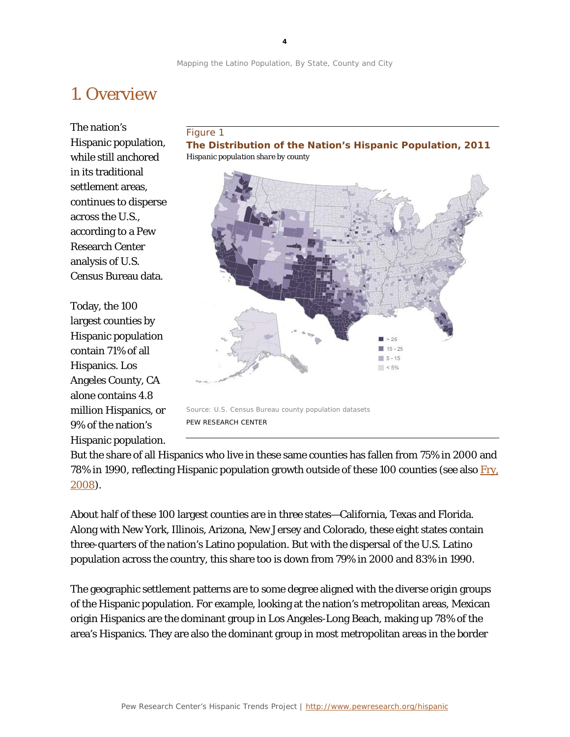# 1. Overview

The nation's Hispanic population, while still anchored in its traditional settlement areas, continues to disperse across the U.S., according to a Pew Research Center analysis of U.S. Census Bureau data.

Today, the 100 largest counties by Hispanic population contain 71% of all Hispanics. Los Angeles County, CA alone contains 4.8 million Hispanics, or 9% of the nation's Hispanic population.

### Figure 1

**The Distribution of the Nation's Hispanic Population, 2011** *Hispanic population share by county*



But the share of all Hispanics who live in these same counties has fallen from 75% in 2000 and 78% in 1990, reflecting Hispanic population growth outside of these 100 counties (see also Fry. [2008\)](http://www.pewhispanic.org/2008/10/22/latinos-account-for-half-of-us-population-growth-since-2000/).

About half of these 100 largest counties are in three states—California, Texas and Florida. Along with New York, Illinois, Arizona, New Jersey and Colorado, these eight states contain three-quarters of the nation's Latino population. But with the dispersal of the U.S. Latino population across the country, this share too is down from 79% in 2000 and 83% in 1990.

The geographic settlement patterns are to some degree aligned with the diverse origin groups of the Hispanic population. For example, looking at the nation's metropolitan areas, Mexican origin Hispanics are the dominant group in Los Angeles-Long Beach, making up 78% of the area's Hispanics. They are also the dominant group in most metropolitan areas in the border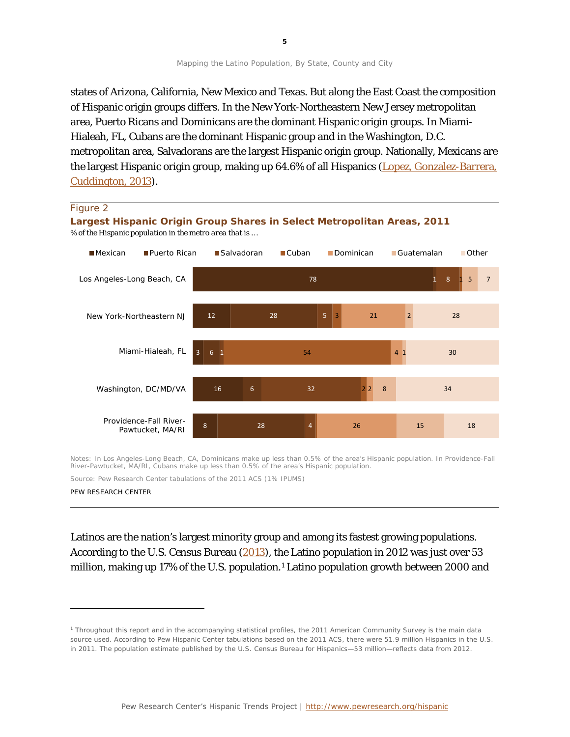states of Arizona, California, New Mexico and Texas. But along the East Coast the composition of Hispanic origin groups differs. In the New York-Northeastern New Jersey metropolitan area, Puerto Ricans and Dominicans are the dominant Hispanic origin groups. In Miami-Hialeah, FL, Cubans are the dominant Hispanic group and in the Washington, D.C. metropolitan area, Salvadorans are the largest Hispanic origin group. Nationally, Mexicans are the largest Hispanic origin group, making up 64.6% of all Hispanics [\(Lopez, Gonzalez-Barrera,](http://www.pewhispanic.org/2013/06/19/diverse-origins-the-nations-14-largest-hispanic-origin-groups/)  [Cuddington,](http://www.pewhispanic.org/2013/06/19/diverse-origins-the-nations-14-largest-hispanic-origin-groups/) 2013).

#### 78 12 3 16 8 1  $28$ 6 6 28 8 5 1 32 4 1 3  $54$ 2  $21$ 4 1 2 26 5  $\overline{2}$ 8 15 7  $28$ 30 34 18 ■Mexican ■Puerto Rican ■Salvadoran ■Cuban ■Dominican ■Guatemalan ■Other Los Angeles-Long Beach, CA New York-Northeastern NJ Miami-Hialeah, FL Washington, DC/MD/VA Providence-Fall River-Pawtucket, MA/RI Figure 2 **Largest Hispanic Origin Group Shares in Select Metropolitan Areas, 2011** *% of the Hispanic population in the metro area that is …*

Notes: In Los Angeles-Long Beach, CA, Dominicans make up less than 0.5% of the area's Hispanic population. In Providence-Fall River-Pawtucket, MA/RI, Cubans make up less than 0.5% of the area's Hispanic population.

Source: Pew Research Center tabulations of the 2011 ACS (1% IPUMS)

PEW RESEARCH CENTER

l

Latinos are the nation's largest minority group and among its fastest growing populations. According to the U.S. Census Bureau [\(2013\)](http://www.census.gov/newsroom/releases/archives/population/cb13-112.html), the Latino population in 2012 was just over 53 million, making up 17% of the U.S. population.[1](#page-5-0) Latino population growth between 2000 and

<span id="page-5-0"></span><sup>1</sup> Throughout this report and in the accompanying statistical profiles, the 2011 American Community Survey is the main data source used. According to Pew Hispanic Center tabulations based on the 2011 ACS, there were 51.9 million Hispanics in the U.S. in 2011. The population estimate published by the U.S. Census Bureau for Hispanics—53 million—reflects data from 2012.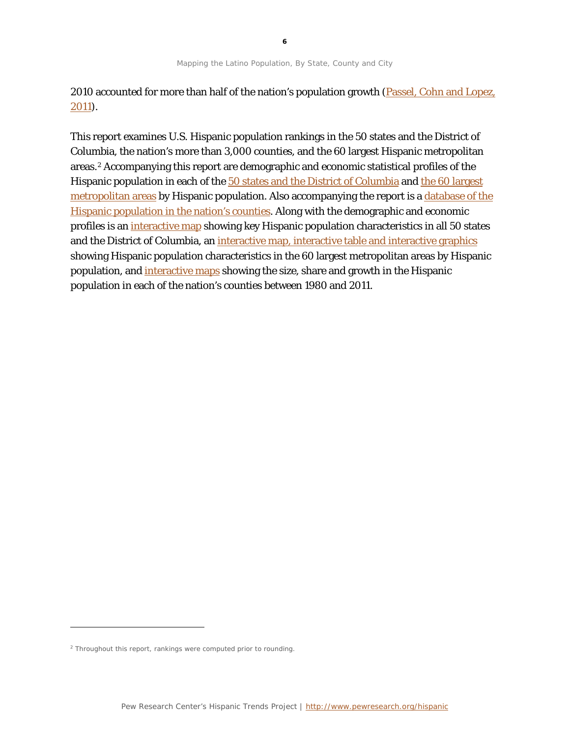2010 accounted for more than half of the nation's population growth (Passel, Cohn and Lopez, [2011\)](http://www.pewhispanic.org/2011/03/24/hispanics-account-for-more-than-half-of-nations-growth-in-past-decade/).

This report examines U.S. Hispanic population rankings in the 50 states and the District of Columbia, the nation's more than 3,000 counties, and the 60 largest Hispanic metropolitan areas.[2](#page-6-0) Accompanying this report are demographic and economic statistical profiles of the Hispanic population in each of the [50 states and the District of Columbia](http://www.pewhispanic.org/states/) and the 60 largest [metropolitan areas](http://www.pewhispanic.org/2013/08/29/hispanic-population-in-select-u-s-metropolitan-areas-2011/) by Hispanic population. Also accompanying the report is a [database of the](http://www.pewhispanic.org/states/)  [Hispanic population in the nation's counties.](http://www.pewhispanic.org/states/) Along with the demographic and economic profiles is an [interactive map](http://www.pewhispanic.org/states/) showing key Hispanic population characteristics in all 50 states and the District of Columbia, an [interactive map, interactive table](http://www.pewhispanic.org/2013/08/29/hispanic-population-in-select-u-s-metropolitan-areas-2011/) and interactive graphics showing Hispanic population characteristics in the 60 largest metropolitan areas by Hispanic population, and [interactive maps](http://www.pewhispanic.org/2013/08/29/u-s-hispanic-population-by-county-1980-2011/) showing the size, share and growth in the Hispanic population in each of the nation's counties between 1980 and 2011.

l

<span id="page-6-0"></span> $2$  Throughout this report, rankings were computed prior to rounding.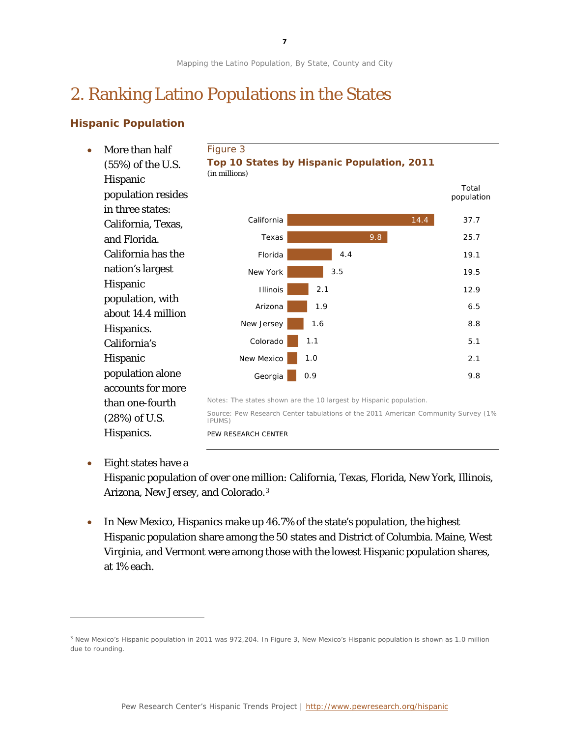**7**

Mapping the Latino Population, By State, County and City

# 2. Ranking Latino Populations in the States

# **Hispanic Population**

14.4 9.8 4.4 3.5 2.1 1.9 1.6 1.1 1.0 0.9 California Texas Florida New York Illinois Arizona New Jersey Colorado New Mexico Georgia *Total population 37.7 25.7 19.1 19.5 12.9 6.5 8.8 5.1 2.1 9.8* • More than half (55%) of the U.S. Hispanic population resides in three states: California, Texas, and Florida. California has the nation's largest Hispanic population, with about 14.4 million Hispanics. California's Hispanic population alone accounts for more than one-fourth (28%) of U.S. Hispanics. Figure 3 **Top 10 States by Hispanic Population, 2011** *(in millions)* Notes: The states shown are the 10 largest by Hispanic population. Source: Pew Research Center tabulations of the 2011 American Community Survey (1% IPUMS) PEW RESEARCH CENTER

# • Eight states have a

1

Hispanic population of over one million: California, Texas, Florida, New York, Illinois, Arizona, New Jersey, and Colorado.[3](#page-7-0)

• In New Mexico, Hispanics make up 46.7% of the state's population, the highest Hispanic population share among the 50 states and District of Columbia. Maine, West Virginia, and Vermont were among those with the lowest Hispanic population shares, at 1% each.

<span id="page-7-0"></span><sup>&</sup>lt;sup>3</sup> New Mexico's Hispanic population in 2011 was 972,204. In Figure 3, New Mexico's Hispanic population is shown as 1.0 million due to rounding.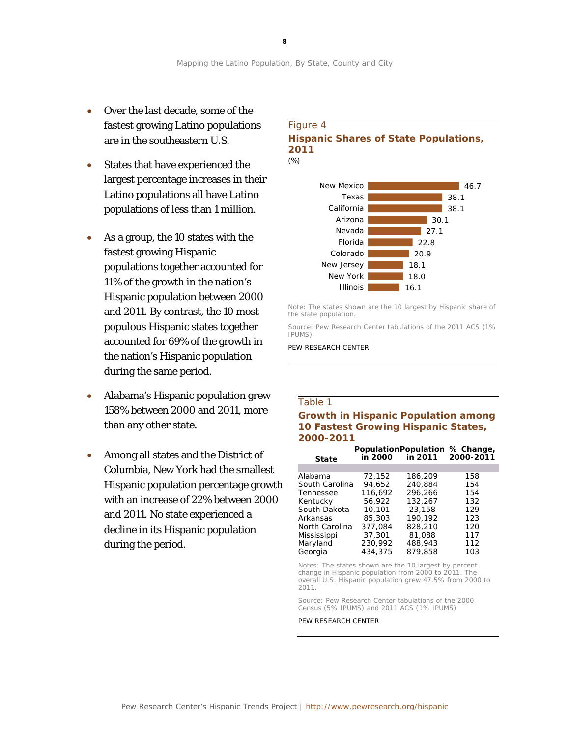- Over the last decade, some of the fastest growing Latino populations are in the southeastern U.S.
- States that have experienced the largest percentage increases in their Latino populations all have Latino populations of less than 1 million.
- As a group, the 10 states with the fastest growing Hispanic populations together accounted for 11% of the growth in the nation's Hispanic population between 2000 and 2011. By contrast, the 10 most populous Hispanic states together accounted for 69% of the growth in the nation's Hispanic population during the same period.
- Alabama's Hispanic population grew 158% between 2000 and 2011, more than any other state.
- Among all states and the District of Columbia, New York had the smallest Hispanic population percentage growth with an increase of 22% between 2000 and 2011. No state experienced a decline in its Hispanic population during the period.

## Figure 4 **Hispanic Shares of State Populations, 2011** *(%)*



Note: The states shown are the 10 largest by Hispanic share of the state population.

Source: Pew Research Center tabulations of the 2011 ACS (1% IPUMS)

PEW RESEARCH CENTER

### Table 1

## **Growth in Hispanic Population among 10 Fastest Growing Hispanic States, 2000-2011**

| <b>State</b>   | in 2000 | in 2011 | PopulationPopulation % Change,<br>2000-2011 |
|----------------|---------|---------|---------------------------------------------|
|                |         |         |                                             |
| Alabama        | 72.152  | 186,209 | 158                                         |
| South Carolina | 94.652  | 240.884 | 154                                         |
| Tennessee      | 116.692 | 296.266 | 154                                         |
| Kentucky       | 56,922  | 132,267 | 132                                         |
| South Dakota   | 10,101  | 23,158  | 129                                         |
| Arkansas       | 85,303  | 190.192 | 123                                         |
| North Carolina | 377.084 | 828,210 | 120                                         |
| Mississippi    | 37,301  | 81,088  | 117                                         |
| Maryland       | 230.992 | 488,943 | 112                                         |
| Georgia        | 434,375 | 879,858 | 103                                         |

Notes: The states shown are the 10 largest by percent change in Hispanic population from 2000 to 2011. The overall U.S. Hispanic population grew 47.5% from 2000 to 2011.

Source: Pew Research Center tabulations of the 2000 Census (5% IPUMS) and 2011 ACS (1% IPUMS)

PEW RESEARCH CENTER

**8**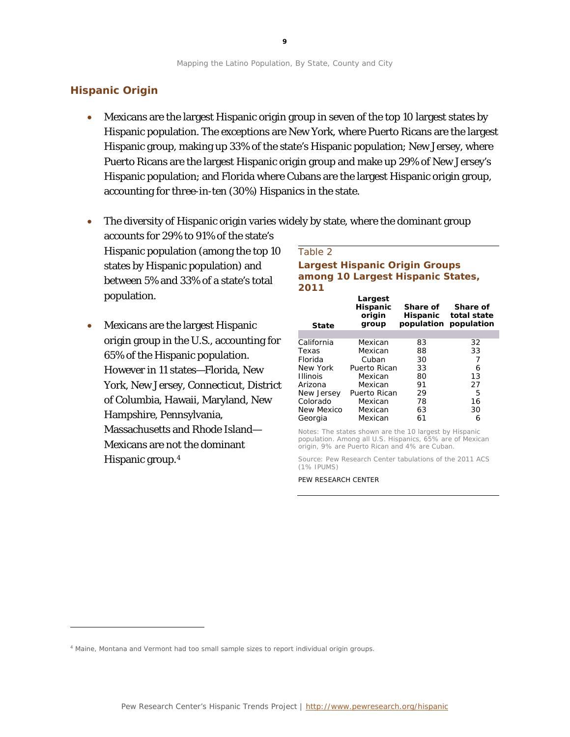## **Hispanic Origin**

l

- Mexicans are the largest Hispanic origin group in seven of the top 10 largest states by Hispanic population. The exceptions are New York, where Puerto Ricans are the largest Hispanic group, making up 33% of the state's Hispanic population; New Jersey, where Puerto Ricans are the largest Hispanic origin group and make up 29% of New Jersey's Hispanic population; and Florida where Cubans are the largest Hispanic origin group, accounting for three-in-ten (30%) Hispanics in the state.
- The diversity of Hispanic origin varies widely by state, where the dominant group accounts for 29% to 91% of the state's Hispanic population (among the top 10

states by Hispanic population) and between 5% and 33% of a state's total population.

• Mexicans are the largest Hispanic origin group in the U.S., accounting for 65% of the Hispanic population. However in 11 states—Florida, New York, New Jersey, Connecticut, District of Columbia, Hawaii, Maryland, New Hampshire, Pennsylvania, Massachusetts and Rhode Island— Mexicans are not the dominant Hispanic group.[4](#page-9-0)

| Table 2                                                                            |                      |                         |
|------------------------------------------------------------------------------------|----------------------|-------------------------|
| <b>Largest Hispanic Origin Groups</b><br>among 10 Largest Hispanic States,<br>2011 |                      |                         |
| Largest<br><b>Hispanic</b><br>origin                                               | Share of<br>Hicnanic | Share of<br>total statc |

| State           | origin<br>group | Hispanic<br>population population | total state |
|-----------------|-----------------|-----------------------------------|-------------|
|                 |                 |                                   |             |
| California      | Mexican         | 83                                | 32          |
| Texas           | Mexican         | 88                                | 33          |
| Florida         | Cuban           | 30                                |             |
| New York        | Puerto Rican    | 33                                | 6           |
| <b>Illinois</b> | Mexican         | 80                                | 13          |
| Arizona         | Mexican         | 91                                | 27          |
| New Jersey      | Puerto Rican    | 29                                | 5           |
| Colorado        | Mexican         | 78                                | 16          |
| New Mexico      | Mexican         | 63                                | 30          |
| Georgia         | Mexican         | 61                                | 6           |

Notes: The states shown are the 10 largest by Hispanic population. Among all U.S. Hispanics, 65% are of Mexican origin, 9% are Puerto Rican and 4% are Cuban.

Source: Pew Research Center tabulations of the 2011 ACS (1% IPUMS)

<span id="page-9-0"></span><sup>4</sup> Maine, Montana and Vermont had too small sample sizes to report individual origin groups.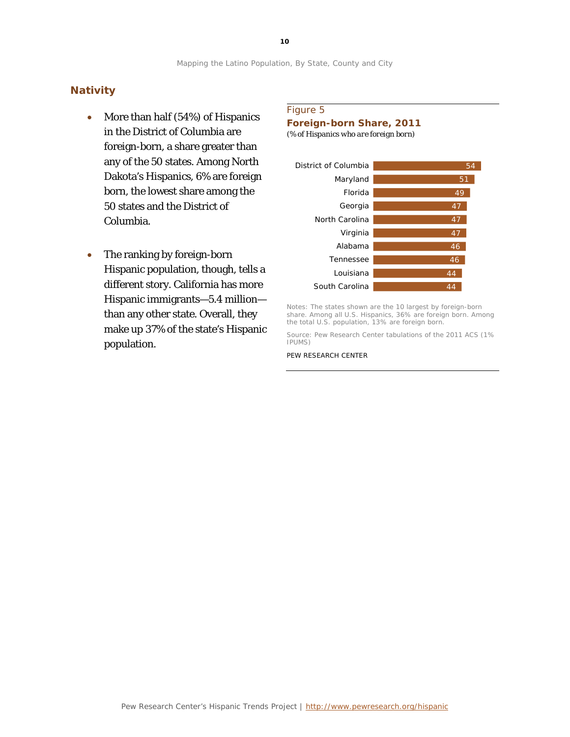## **Nativity**

- More than half (54%) of Hispanics in the District of Columbia are foreign-born, a share greater than any of the 50 states. Among North Dakota's Hispanics, 6% are foreign born, the lowest share among the 50 states and the District of Columbia.
- The ranking by foreign-born Hispanic population, though, tells a different story. California has more Hispanic immigrants—5.4 million than any other state. Overall, they make up 37% of the state's Hispanic population.

## Figure 5

**Foreign-born Share, 2011**

*(% of Hispanics who are foreign born)*



Notes: The states shown are the 10 largest by foreign-born share. Among all U.S. Hispanics, 36% are foreign born. Among the total U.S. population, 13% are foreign born.

Source: Pew Research Center tabulations of the 2011 ACS (1% IPUMS)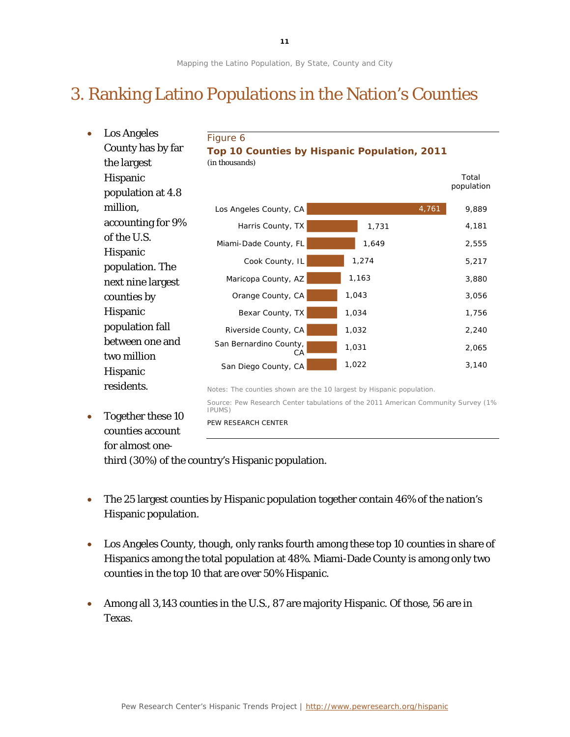# 3. Ranking Latino Populations in the Nation's Counties

| $\bullet$ | <b>Los Angeles</b> | Figure 6                                                             |                                                                                    |            |
|-----------|--------------------|----------------------------------------------------------------------|------------------------------------------------------------------------------------|------------|
|           | County has by far  |                                                                      | Top 10 Counties by Hispanic Population, 2011                                       |            |
|           | the largest        | (in thousands)                                                       |                                                                                    |            |
|           | Hispanic           |                                                                      |                                                                                    | Total      |
|           | population at 4.8  |                                                                      |                                                                                    | population |
|           | million,           | Los Angeles County, CA                                               | 4,761                                                                              | 9,889      |
|           | accounting for 9%  | Harris County, TX                                                    | 1,731                                                                              | 4,181      |
|           | of the U.S.        | Miami-Dade County, FL                                                | 1,649                                                                              | 2,555      |
|           | Hispanic           | Cook County, IL                                                      | 1,274                                                                              | 5,217      |
|           | population. The    |                                                                      |                                                                                    |            |
|           | next nine largest  | Maricopa County, AZ                                                  | 1,163                                                                              | 3,880      |
|           | counties by        | Orange County, CA                                                    | 1,043                                                                              | 3,056      |
|           | Hispanic           | Bexar County, TX                                                     | 1,034                                                                              | 1,756      |
|           | population fall    | Riverside County, CA                                                 | 1,032                                                                              | 2,240      |
|           | between one and    | San Bernardino County,                                               | 1,031                                                                              | 2,065      |
|           | two million        | СA                                                                   | 1,022                                                                              | 3,140      |
|           | Hispanic           | San Diego County, CA                                                 |                                                                                    |            |
|           | residents.         | Notes: The counties shown are the 10 largest by Hispanic population. |                                                                                    |            |
|           |                    | IPUMS)                                                               | Source: Pew Research Center tabulations of the 2011 American Community Survey (1%) |            |
| $\bullet$ | Together these 10  | PEW RESEARCH CENTER                                                  |                                                                                    |            |
|           | counties account   |                                                                      |                                                                                    |            |
|           | for almost one-    |                                                                      |                                                                                    |            |
|           |                    |                                                                      |                                                                                    |            |

third (30%) of the country's Hispanic population.

- The 25 largest counties by Hispanic population together contain 46% of the nation's Hispanic population.
- Los Angeles County, though, only ranks fourth among these top 10 counties in share of Hispanics among the total population at 48%. Miami-Dade County is among only two counties in the top 10 that are over 50% Hispanic.
- Among all 3,143 counties in the U.S., 87 are majority Hispanic. Of those, 56 are in Texas.

**11**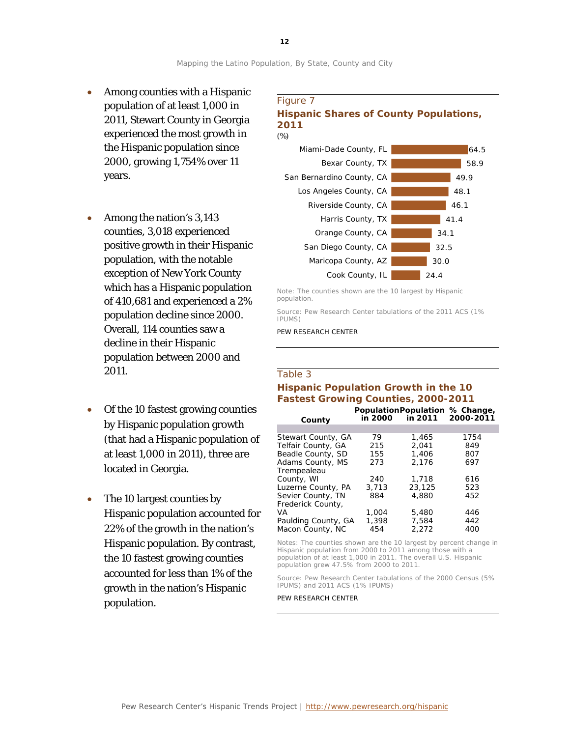- Among counties with a Hispanic population of at least 1,000 in 2011, Stewart County in Georgia experienced the most growth in the Hispanic population since 2000, growing 1,754% over 11 years.
- Among the nation's 3,143 counties, 3,018 experienced positive growth in their Hispanic population, with the notable exception of New York County which has a Hispanic population of 410,681 and experienced a 2% population decline since 2000. Overall, 114 counties saw a decline in their Hispanic population between 2000 and 2011.
- Of the 10 fastest growing counties by Hispanic population growth (that had a Hispanic population of at least 1,000 in 2011), three are located in Georgia.
- The 10 largest counties by Hispanic population accounted for 22% of the growth in the nation's Hispanic population. By contrast, the 10 fastest growing counties accounted for less than 1% of the growth in the nation's Hispanic population.

# Figure 7 **Hispanic Shares of County Populations,**





Note: The counties shown are the 10 largest by Hispanic population.

Source: Pew Research Center tabulations of the 2011 ACS (1% IPUMS)

PEW RESEARCH CENTER

#### Table 3

# **Hispanic Population Growth in the 10 Fastest Growing Counties, 2000-2011**

|                     |         | PopulationPopulation % Change, |           |
|---------------------|---------|--------------------------------|-----------|
| County              | in 2000 | in 2011                        | 2000-2011 |
|                     |         |                                |           |
| Stewart County, GA  | 79      | 1.465                          | 1754      |
| Telfair County, GA  | 215     | 2.041                          | 849       |
| Beadle County, SD   | 155     | 1.406                          | 807       |
| Adams County, MS    | 273     | 2,176                          | 697       |
| Trempealeau         |         |                                |           |
| County, WI          | 240     | 1,718                          | 616       |
| Luzerne County, PA  | 3.713   | 23,125                         | 523       |
| Sevier County, TN   | 884     | 4,880                          | 452       |
| Frederick County,   |         |                                |           |
| VA                  | 1,004   | 5,480                          | 446       |
| Paulding County, GA | 1,398   | 7.584                          | 442       |
| Macon County, NC    | 454     | 2.272                          | 400       |

Notes: The counties shown are the 10 largest by percent change in Hispanic population from 2000 to 2011 among those with a population of at least 1,000 in 2011. The overall U.S. Hispanic population grew 47.5% from 2000 to 2011.

Source: Pew Research Center tabulations of the 2000 Census (5% IPUMS) and 2011 ACS (1% IPUMS)

PEW RESEARCH CENTER

**12**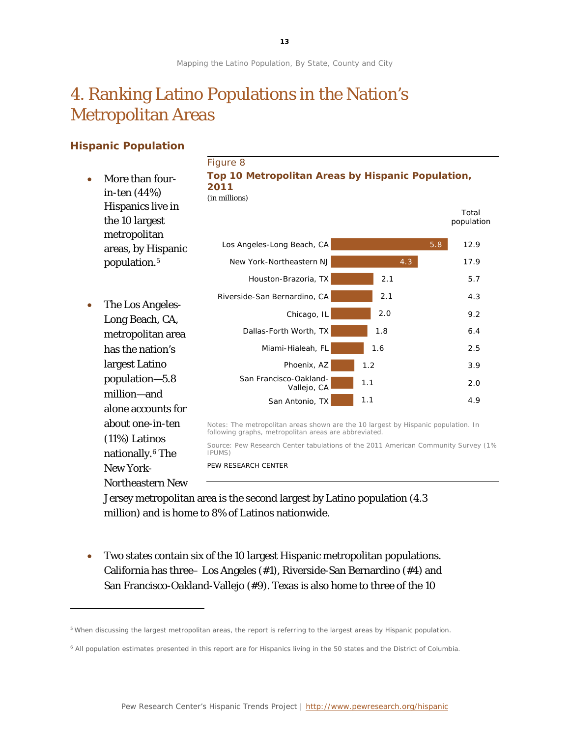# 4. Ranking Latino Populations in the Nation's Metropolitan Areas

# **Hispanic Population**

l

|           |                                                     | Figure 8                                                                                                                                   |     |                     |
|-----------|-----------------------------------------------------|--------------------------------------------------------------------------------------------------------------------------------------------|-----|---------------------|
| $\bullet$ | More than four-<br>in-ten (44%)                     | Top 10 Metropolitan Areas by Hispanic Population,<br>2011<br>(in millions)                                                                 |     |                     |
|           | Hispanics live in<br>the 10 largest<br>metropolitan |                                                                                                                                            |     | Total<br>population |
|           | areas, by Hispanic                                  | Los Angeles-Long Beach, CA                                                                                                                 | 5.8 | 12.9                |
|           | population. <sup>5</sup>                            | New York-Northeastern NJ                                                                                                                   | 4.3 | 17.9                |
|           |                                                     | Houston-Brazoria, TX                                                                                                                       | 2.1 | 5.7                 |
| $\bullet$ | The Los Angeles-                                    | Riverside-San Bernardino, CA                                                                                                               | 2.1 | 4.3                 |
|           | Long Beach, CA,                                     | Chicago, IL                                                                                                                                | 2.0 | 9.2                 |
|           | metropolitan area                                   | Dallas-Forth Worth, TX                                                                                                                     | 1.8 | 6.4                 |
|           | has the nation's                                    | Miami-Hialeah, FL                                                                                                                          | 1.6 | 2.5                 |
|           | largest Latino                                      | Phoenix, AZ                                                                                                                                | 1.2 | 3.9                 |
|           | population-5.8<br>million-and                       | San Francisco-Oakland-<br>Vallejo, CA                                                                                                      | 1.1 | 2.0                 |
|           | alone accounts for                                  | San Antonio, TX                                                                                                                            | 1.1 | 4.9                 |
|           | about one-in-ten                                    | Notes: The metropolitan areas shown are the 10 largest by Hispanic population. In<br>following graphs, metropolitan areas are abbreviated. |     |                     |
|           | $(11%)$ Latinos<br>nationally. <sup>6</sup> The     | Source: Pew Research Center tabulations of the 2011 American Community Survey (1%)<br>IPUMS)                                               |     |                     |
|           | <b>New York-</b>                                    | PEW RESEARCH CENTER                                                                                                                        |     |                     |
|           | <b>Northeastern New</b>                             |                                                                                                                                            |     |                     |

Jersey metropolitan area is the second largest by Latino population (4.3 million) and is home to 8% of Latinos nationwide.

• Two states contain six of the 10 largest Hispanic metropolitan populations. California has three– Los Angeles (#1), Riverside-San Bernardino (#4) and San Francisco-Oakland-Vallejo (#9). Texas is also home to three of the 10

<span id="page-13-0"></span><sup>5</sup> When discussing the largest metropolitan areas, the report is referring to the largest areas by Hispanic population.

<span id="page-13-1"></span><sup>6</sup> All population estimates presented in this report are for Hispanics living in the 50 states and the District of Columbia.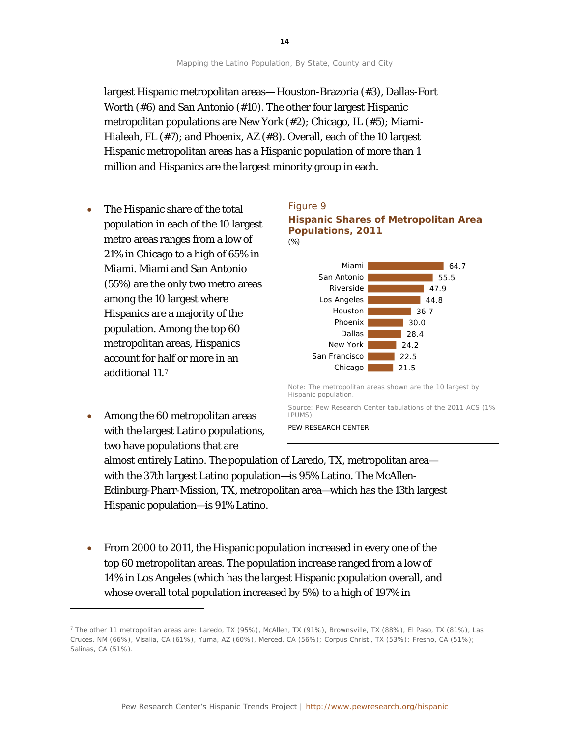largest Hispanic metropolitan areas— Houston-Brazoria (#3), Dallas-Fort Worth (#6) and San Antonio (#10). The other four largest Hispanic metropolitan populations are New York (#2); Chicago, IL (#5); Miami-Hialeah, FL (#7); and Phoenix, AZ (#8). Overall, each of the 10 largest Hispanic metropolitan areas has a Hispanic population of more than 1 million and Hispanics are the largest minority group in each.

- The Hispanic share of the total population in each of the 10 largest metro areas ranges from a low of 21% in Chicago to a high of 65% in Miami. Miami and San Antonio (55%) are the only two metro areas among the 10 largest where Hispanics are a majority of the population. Among the top 60 metropolitan areas, Hispanics account for half or more in an additional 11.[7](#page-14-0)
- Among the 60 metropolitan areas with the largest Latino populations, two have populations that are

l



PEW RESEARCH CENTER

almost entirely Latino. The population of Laredo, TX, metropolitan area with the 37th largest Latino population—is 95% Latino. The McAllen-Edinburg-Pharr-Mission, TX, metropolitan area—which has the 13th largest Hispanic population—is 91% Latino.

• From 2000 to 2011, the Hispanic population increased in every one of the top 60 metropolitan areas. The population increase ranged from a low of 14% in Los Angeles (which has the largest Hispanic population overall, and whose overall total population increased by 5%) to a high of 197% in

<span id="page-14-0"></span><sup>7</sup> The other 11 metropolitan areas are: Laredo, TX (95%), McAllen, TX (91%), Brownsville, TX (88%), El Paso, TX (81%), Las Cruces, NM (66%), Visalia, CA (61%), Yuma, AZ (60%), Merced, CA (56%); Corpus Christi, TX (53%); Fresno, CA (51%); Salinas, CA (51%).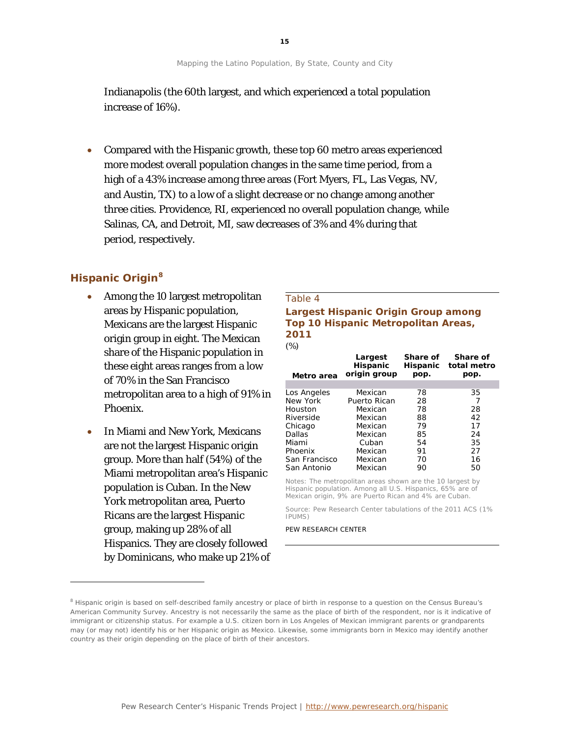Indianapolis (the 60th largest, and which experienced a total population increase of 16%).

• Compared with the Hispanic growth, these top 60 metro areas experienced more modest overall population changes in the same time period, from a high of a 43% increase among three areas (Fort Myers, FL, Las Vegas, NV, and Austin, TX) to a low of a slight decrease or no change among another three cities. Providence, RI, experienced no overall population change, while Salinas, CA, and Detroit, MI, saw decreases of 3% and 4% during that period, respectively.

# **Hispanic Origin[8](#page-15-0)**

l

- Among the 10 largest metropolitan areas by Hispanic population, Mexicans are the largest Hispanic origin group in eight. The Mexican share of the Hispanic population in these eight areas ranges from a low of 70% in the San Francisco metropolitan area to a high of 91% in Phoenix.
- In Miami and New York, Mexicans are not the largest Hispanic origin group. More than half (54%) of the Miami metropolitan area's Hispanic population is Cuban. In the New York metropolitan area, Puerto Ricans are the largest Hispanic group, making up 28% of all Hispanics. They are closely followed by Dominicans, who make up 21% of

### Table 4 **Largest Hispanic Origin Group among Top 10 Hispanic Metropolitan Areas, 2011** *(%)*

| $\frac{1}{2}$ |                                            |                              |                                 |
|---------------|--------------------------------------------|------------------------------|---------------------------------|
| Metro area    | Largest<br><b>Hispanic</b><br>origin group | Share of<br>Hispanic<br>pop. | Share of<br>total metro<br>pop. |
|               |                                            |                              |                                 |
| Los Angeles   | Mexican                                    | 78                           | 35                              |
| New York      | Puerto Rican                               | 28                           | 7                               |
| Houston       | Mexican                                    | 78                           | 28                              |
| Riverside     | Mexican                                    | 88                           | 42                              |
| Chicago       | Mexican                                    | 79                           | 17                              |
| Dallas        | Mexican                                    | 85                           | 24                              |
| Miami         | Cuban                                      | 54                           | 35                              |
| Phoenix       | Mexican                                    | 91                           | 27                              |
| San Francisco | Mexican                                    | 70                           | 16                              |
| San Antonio   | Mexican                                    | 90                           | 50                              |
|               |                                            |                              |                                 |

Notes: The metropolitan areas shown are the 10 largest by Hispanic population. Among all U.S. Hispanics, 65% are of Mexican origin, 9% are Puerto Rican and 4% are Cuban.

Source: Pew Research Center tabulations of the 2011 ACS (1% IPUMS)

<span id="page-15-0"></span><sup>&</sup>lt;sup>8</sup> Hispanic origin is based on self-described family ancestry or place of birth in response to a question on the Census Bureau's American Community Survey. Ancestry is not necessarily the same as the place of birth of the respondent, nor is it indicative of immigrant or citizenship status. For example a U.S. citizen born in Los Angeles of Mexican immigrant parents or grandparents may (or may not) identify his or her Hispanic origin as Mexico. Likewise, some immigrants born in Mexico may identify another country as their origin depending on the place of birth of their ancestors.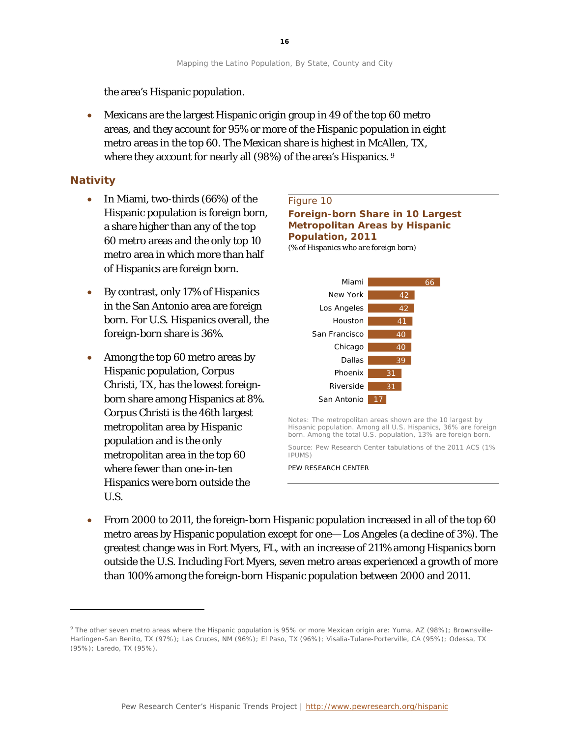the area's Hispanic population.

• Mexicans are the largest Hispanic origin group in 49 of the top 60 metro areas, and they account for 95% or more of the Hispanic population in eight metro areas in the top 60. The Mexican share is highest in McAllen, TX, where they account for nearly all ([9](#page-16-0)8%) of the area's Hispanics.  $^9$ 

# **Nativity**

1

- In Miami, two-thirds (66%) of the Hispanic population is foreign born, a share higher than any of the top 60 metro areas and the only top 10 metro area in which more than half of Hispanics are foreign born.
- By contrast, only 17% of Hispanics in the San Antonio area are foreign born. For U.S. Hispanics overall, the foreign-born share is 36%.
- Among the top 60 metro areas by Hispanic population, Corpus Christi, TX, has the lowest foreignborn share among Hispanics at 8%. Corpus Christi is the 46th largest metropolitan area by Hispanic population and is the only metropolitan area in the top 60 where fewer than one-in-ten Hispanics were born outside the U.S.

### Figure 10

**Foreign-born Share in 10 Largest Metropolitan Areas by Hispanic Population, 2011** *(% of Hispanics who are foreign born)*



Notes: The metropolitan areas shown are the 10 largest by Hispanic population. Among all U.S. Hispanics, 36% are foreign born. Among the total U.S. population, 13% are foreign born.

Source: Pew Research Center tabulations of the 2011 ACS (1% IPUMS)

PEW RESEARCH CENTER

• From 2000 to 2011, the foreign-born Hispanic population increased in all of the top 60 metro areas by Hispanic population except for one— Los Angeles (a decline of 3%). The greatest change was in Fort Myers, FL, with an increase of 211% among Hispanics born outside the U.S. Including Fort Myers, seven metro areas experienced a growth of more than 100% among the foreign-born Hispanic population between 2000 and 2011.

<span id="page-16-0"></span><sup>9</sup> The other seven metro areas where the Hispanic population is 95% or more Mexican origin are: Yuma, AZ (98%); Brownsville-Harlingen-San Benito, TX (97%); Las Cruces, NM (96%); El Paso, TX (96%); Visalia-Tulare-Porterville, CA (95%); Odessa, TX (95%); Laredo, TX (95%).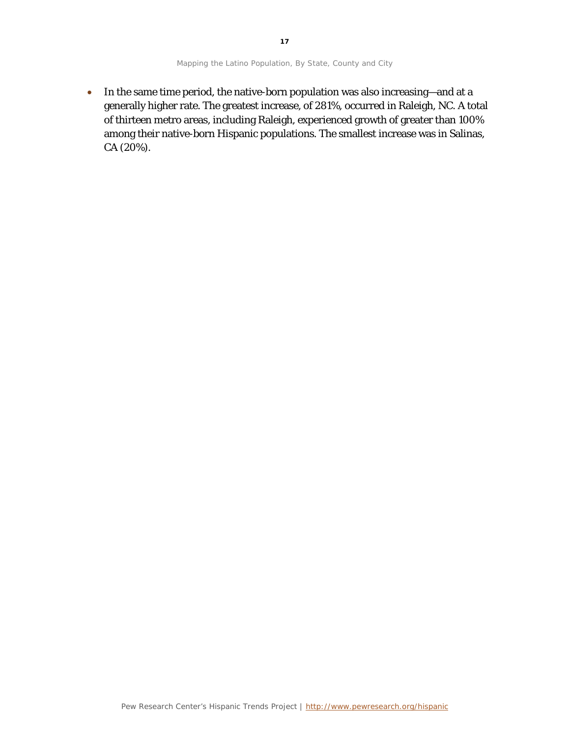**17**

• In the same time period, the native-born population was also increasing—and at a generally higher rate. The greatest increase, of 281%, occurred in Raleigh, NC. A total of thirteen metro areas, including Raleigh, experienced growth of greater than 100% among their native-born Hispanic populations. The smallest increase was in Salinas, CA (20%).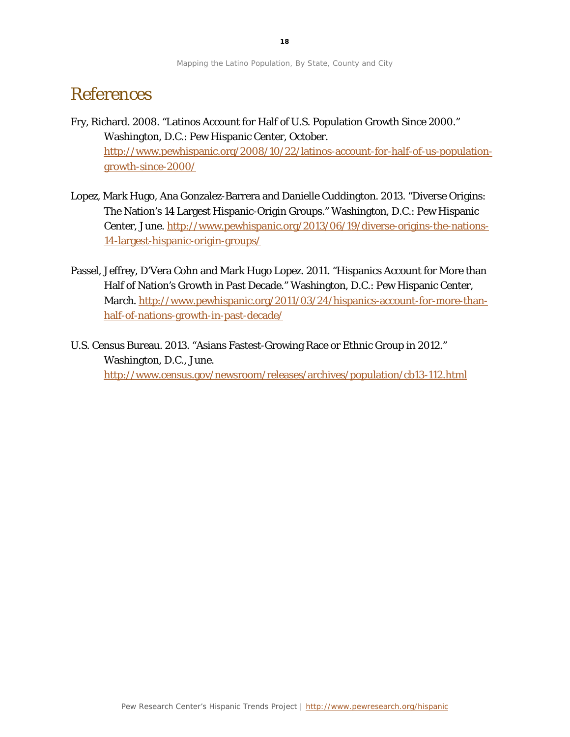# References

- Fry, Richard. 2008. "Latinos Account for Half of U.S. Population Growth Since 2000." Washington, D.C.: Pew Hispanic Center, October. [http://www.pewhispanic.org/2008/10/22/latinos-account-for-half-of-us-population](http://www.pewhispanic.org/2008/10/22/latinos-account-for-half-of-us-population-growth-since-2000/)[growth-since-2000/](http://www.pewhispanic.org/2008/10/22/latinos-account-for-half-of-us-population-growth-since-2000/)
- Lopez, Mark Hugo, Ana Gonzalez-Barrera and Danielle Cuddington. 2013. "Diverse Origins: The Nation's 14 Largest Hispanic-Origin Groups." Washington, D.C.: Pew Hispanic Center, June. [http://www.pewhispanic.org/2013/06/19/diverse-origins-the-nations-](http://www.pewhispanic.org/2013/06/19/diverse-origins-the-nations-14-largest-hispanic-origin-groups/)[14-largest-hispanic-origin-groups/](http://www.pewhispanic.org/2013/06/19/diverse-origins-the-nations-14-largest-hispanic-origin-groups/)
- Passel, Jeffrey, D'Vera Cohn and Mark Hugo Lopez. 2011. "Hispanics Account for More than Half of Nation's Growth in Past Decade." Washington, D.C.: Pew Hispanic Center, March. [http://www.pewhispanic.org/2011/03/24/hispanics-account-for-more-than](http://www.pewhispanic.org/2011/03/24/hispanics-account-for-more-than-half-of-nations-growth-in-past-decade/)[half-of-nations-growth-in-past-decade/](http://www.pewhispanic.org/2011/03/24/hispanics-account-for-more-than-half-of-nations-growth-in-past-decade/)
- U.S. Census Bureau. 2013. "Asians Fastest-Growing Race or Ethnic Group in 2012." Washington, D.C., June. <http://www.census.gov/newsroom/releases/archives/population/cb13-112.html>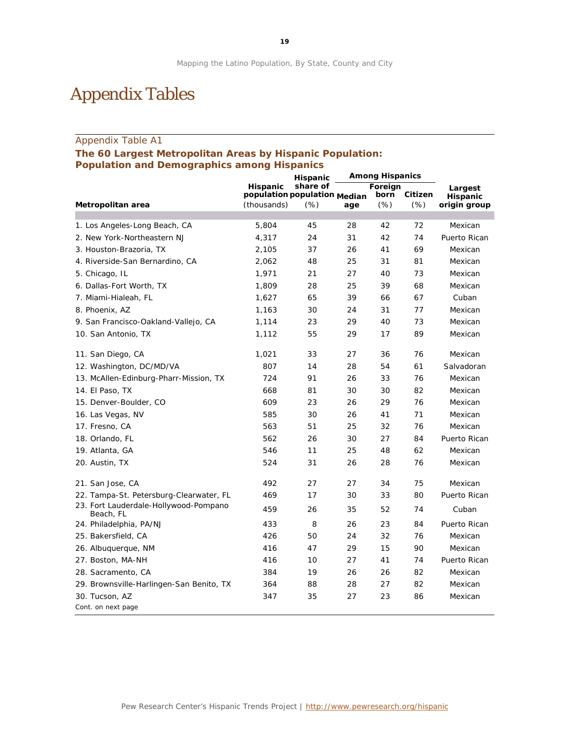# Appendix Tables

## Appendix Table A1

## **The 60 Largest Metropolitan Areas by Hispanic Population: Population and Demographics among Hispanics**

|                                                    |                                             | Hispanic | <b>Among Hispanics</b> |              |                 |                          |
|----------------------------------------------------|---------------------------------------------|----------|------------------------|--------------|-----------------|--------------------------|
|                                                    | Hispanic                                    | share of |                        | Foreign      |                 | Largest                  |
| Metropolitan area                                  | population population Median<br>(thousands) | (%)      | age                    | born<br>(% ) | Citizen<br>(% ) | Hispanic<br>origin group |
|                                                    |                                             |          |                        |              |                 |                          |
| 1. Los Angeles-Long Beach, CA                      | 5,804                                       | 45       | 28                     | 42           | 72              | Mexican                  |
| 2. New York-Northeastern NJ                        | 4,317                                       | 24       | 31                     | 42           | 74              | Puerto Rican             |
| 3. Houston-Brazoria, TX                            | 2,105                                       | 37       | 26                     | 41           | 69              | Mexican                  |
| 4. Riverside-San Bernardino, CA                    | 2,062                                       | 48       | 25                     | 31           | 81              | Mexican                  |
| 5. Chicago, IL                                     | 1,971                                       | 21       | 27                     | 40           | 73              | Mexican                  |
| 6. Dallas-Fort Worth, TX                           | 1,809                                       | 28       | 25                     | 39           | 68              | Mexican                  |
| 7. Miami-Hialeah, FL                               | 1,627                                       | 65       | 39                     | 66           | 67              | Cuban                    |
| 8. Phoenix, AZ                                     | 1,163                                       | 30       | 24                     | 31           | 77              | Mexican                  |
| 9. San Francisco-Oakland-Vallejo, CA               | 1,114                                       | 23       | 29                     | 40           | 73              | Mexican                  |
| 10. San Antonio, TX                                | 1,112                                       | 55       | 29                     | 17           | 89              | Mexican                  |
| 11. San Diego, CA                                  | 1,021                                       | 33       | 27                     | 36           | 76              | Mexican                  |
| 12. Washington, DC/MD/VA                           | 807                                         | 14       | 28                     | 54           | 61              | Salvadoran               |
| 13. McAllen-Edinburg-Pharr-Mission, TX             | 724                                         | 91       | 26                     | 33           | 76              | Mexican                  |
| 14. El Paso, TX                                    | 668                                         | 81       | 30                     | 30           | 82              | Mexican                  |
| 15. Denver-Boulder, CO                             | 609                                         | 23       | 26                     | 29           | 76              | Mexican                  |
| 16. Las Vegas, NV                                  | 585                                         | 30       | 26                     | 41           | 71              | Mexican                  |
| 17. Fresno, CA                                     | 563                                         | 51       | 25                     | 32           | 76              | Mexican                  |
| 18. Orlando, FL                                    | 562                                         | 26       | 30                     | 27           | 84              | Puerto Rican             |
| 19. Atlanta, GA                                    | 546                                         | 11       | 25                     | 48           | 62              | Mexican                  |
| 20. Austin, TX                                     | 524                                         | 31       | 26                     | 28           | 76              | Mexican                  |
| 21. San Jose, CA                                   | 492                                         | 27       | 27                     | 34           | 75              | Mexican                  |
| 22. Tampa-St. Petersburg-Clearwater, FL            | 469                                         | 17       | 30                     | 33           | 80              | Puerto Rican             |
| 23. Fort Lauderdale-Hollywood-Pompano<br>Beach, FL | 459                                         | 26       | 35                     | 52           | 74              | Cuban                    |
| 24. Philadelphia, PA/NJ                            | 433                                         | 8        | 26                     | 23           | 84              | Puerto Rican             |
| 25. Bakersfield, CA                                | 426                                         | 50       | 24                     | 32           | 76              | Mexican                  |
| 26. Albuquerque, NM                                | 416                                         | 47       | 29                     | 15           | 90              | Mexican                  |
| 27. Boston, MA-NH                                  | 416                                         | 10       | 27                     | 41           | 74              | Puerto Rican             |
| 28. Sacramento, CA                                 | 384                                         | 19       | 26                     | 26           | 82              | Mexican                  |
| 29. Brownsville-Harlingen-San Benito, TX           | 364                                         | 88       | 28                     | 27           | 82              | Mexican                  |
| 30. Tucson, AZ<br>Cont. on next page               | 347                                         | 35       | 27                     | 23           | 86              | Mexican                  |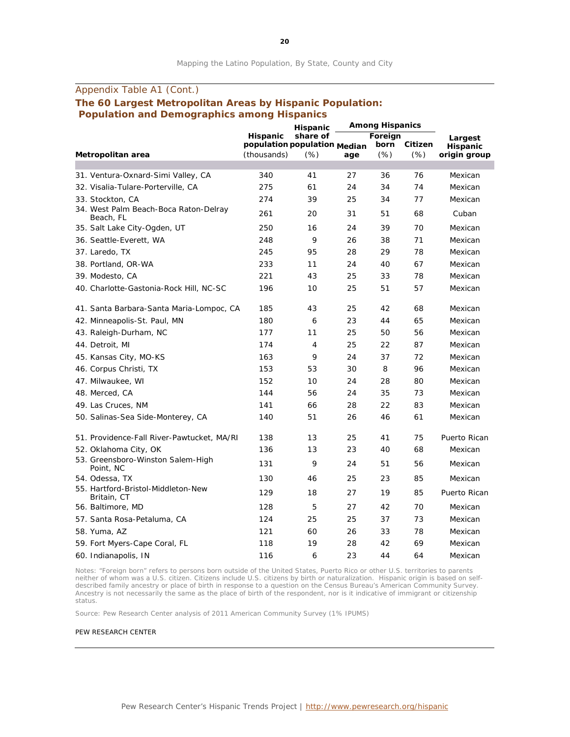# Appendix Table A1 (Cont.) **The 60 Largest Metropolitan Areas by Hispanic Population: Population and Demographics among Hispanics**

|                                                    |                              | Hispanic |     | <b>Among Hispanics</b> |         |                 |  |
|----------------------------------------------------|------------------------------|----------|-----|------------------------|---------|-----------------|--|
|                                                    | Hispanic                     | share of |     | Foreign                |         | Largest         |  |
|                                                    | population population Median |          |     | born                   | Citizen | <b>Hispanic</b> |  |
| Metropolitan area                                  | (thousands)                  | (% )     | age | (% )                   | (% )    | origin group    |  |
| 31. Ventura-Oxnard-Simi Valley, CA                 | 340                          | 41       | 27  | 36                     | 76      | Mexican         |  |
| 32. Visalia-Tulare-Porterville, CA                 | 275                          | 61       | 24  | 34                     | 74      | Mexican         |  |
| 33. Stockton, CA                                   | 274                          | 39       | 25  | 34                     | 77      | Mexican         |  |
| 34. West Palm Beach-Boca Raton-Delray<br>Beach, FL | 261                          | 20       | 31  | 51                     | 68      | Cuban           |  |
| 35. Salt Lake City-Ogden, UT                       | 250                          | 16       | 24  | 39                     | 70      | Mexican         |  |
| 36. Seattle-Everett, WA                            | 248                          | 9        | 26  | 38                     | 71      | Mexican         |  |
| 37. Laredo, TX                                     | 245                          | 95       | 28  | 29                     | 78      | Mexican         |  |
| 38. Portland, OR-WA                                | 233                          | 11       | 24  | 40                     | 67      | Mexican         |  |
| 39. Modesto, CA                                    | 221                          | 43       | 25  | 33                     | 78      | Mexican         |  |
| 40. Charlotte-Gastonia-Rock Hill, NC-SC            | 196                          | 10       | 25  | 51                     | 57      | Mexican         |  |
| 41. Santa Barbara-Santa Maria-Lompoc, CA           | 185                          | 43       | 25  | 42                     | 68      | Mexican         |  |
| 42. Minneapolis-St. Paul, MN                       | 180                          | 6        | 23  | 44                     | 65      | Mexican         |  |
| 43. Raleigh-Durham, NC                             | 177                          | 11       | 25  | 50                     | 56      | Mexican         |  |
| 44. Detroit, MI                                    | 174                          | 4        | 25  | 22                     | 87      | Mexican         |  |
| 45. Kansas City, MO-KS                             | 163                          | 9        | 24  | 37                     | 72      | Mexican         |  |
| 46. Corpus Christi, TX                             | 153                          | 53       | 30  | 8                      | 96      | Mexican         |  |
| 47. Milwaukee, WI                                  | 152                          | 10       | 24  | 28                     | 80      | Mexican         |  |
| 48. Merced, CA                                     | 144                          | 56       | 24  | 35                     | 73      | Mexican         |  |
| 49. Las Cruces, NM                                 | 141                          | 66       | 28  | 22                     | 83      | Mexican         |  |
| 50. Salinas-Sea Side-Monterey, CA                  | 140                          | 51       | 26  | 46                     | 61      | Mexican         |  |
| 51. Providence-Fall River-Pawtucket, MA/RI         | 138                          | 13       | 25  | 41                     | 75      | Puerto Rican    |  |
| 52. Oklahoma City, OK                              | 136                          | 13       | 23  | 40                     | 68      | Mexican         |  |
| 53. Greensboro-Winston Salem-High<br>Point, NC     | 131                          | 9        | 24  | 51                     | 56      | Mexican         |  |
| 54. Odessa, TX                                     | 130                          | 46       | 25  | 23                     | 85      | Mexican         |  |
| 55. Hartford-Bristol-Middleton-New<br>Britain, CT  | 129                          | 18       | 27  | 19                     | 85      | Puerto Rican    |  |
| 56. Baltimore, MD                                  | 128                          | 5        | 27  | 42                     | 70      | Mexican         |  |
| 57. Santa Rosa-Petaluma, CA                        | 124                          | 25       | 25  | 37                     | 73      | Mexican         |  |
| 58. Yuma, AZ                                       | 121                          | 60       | 26  | 33                     | 78      | Mexican         |  |
| 59. Fort Myers-Cape Coral, FL                      | 118                          | 19       | 28  | 42                     | 69      | Mexican         |  |
| 60. Indianapolis, IN                               | 116                          | 6        | 23  | 44                     | 64      | Mexican         |  |

Notes: "Foreign born" refers to persons born outside of the United States, Puerto Rico or other U.S. territories to parents neither of whom was a U.S. citizen. Citizens include U.S. citizens by birth or naturalization. Hispanic origin is based on selfdescribed family ancestry or place of birth in response to a question on the Census Bureau's American Community Survey. Ancestry is not necessarily the same as the place of birth of the respondent, nor is it indicative of immigrant or citizenship status.

Source: Pew Research Center analysis of 2011 American Community Survey (1% IPUMS)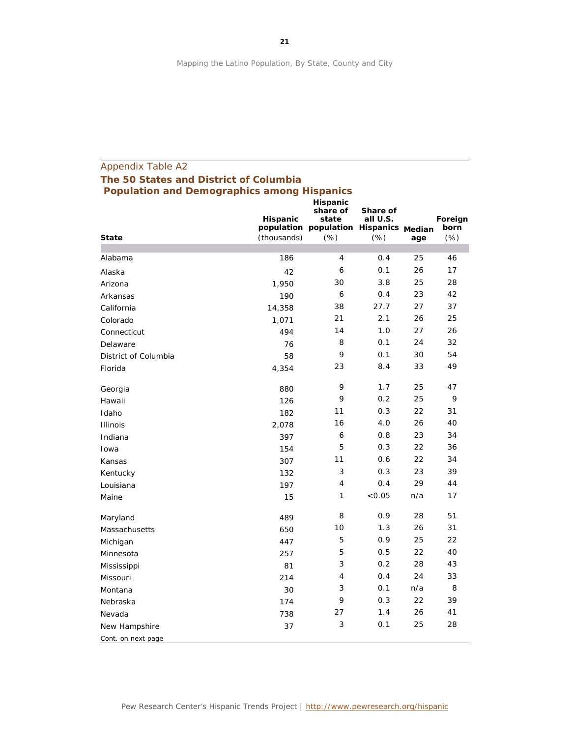# Appendix Table A2 **The 50 States and District of Columbia Population and Demographics among Hispanics**

| <b>State</b>         | <b>Hispanic</b><br>(thousands) | <b>Hispanic</b><br>share of<br>state<br>population population Hispanics Median<br>$(\%)$ | Share of<br>all U.S.<br>(%) | age | Foreign<br>born<br>(% ) |
|----------------------|--------------------------------|------------------------------------------------------------------------------------------|-----------------------------|-----|-------------------------|
|                      |                                |                                                                                          |                             |     |                         |
| Alabama              | 186                            | $\overline{4}$                                                                           | 0.4                         | 25  | 46                      |
| Alaska               | 42                             | 6                                                                                        | 0.1                         | 26  | 17                      |
| Arizona              | 1,950                          | 30                                                                                       | 3.8                         | 25  | 28                      |
| Arkansas             | 190                            | 6                                                                                        | 0.4                         | 23  | 42                      |
| California           | 14,358                         | 38                                                                                       | 27.7                        | 27  | 37                      |
| Colorado             | 1,071                          | 21                                                                                       | 2.1                         | 26  | 25                      |
| Connecticut          | 494                            | 14                                                                                       | 1.0                         | 27  | 26                      |
| Delaware             | 76                             | 8                                                                                        | 0.1                         | 24  | 32                      |
| District of Columbia | 58                             | 9                                                                                        | 0.1                         | 30  | 54                      |
| Florida              | 4,354                          | 23                                                                                       | 8.4                         | 33  | 49                      |
| Georgia              | 880                            | 9                                                                                        | 1.7                         | 25  | 47                      |
| Hawaii               | 126                            | 9                                                                                        | 0.2                         | 25  | 9                       |
| Idaho                | 182                            | 11                                                                                       | 0.3                         | 22  | 31                      |
| <b>Illinois</b>      | 2,078                          | 16                                                                                       | 4.0                         | 26  | 40                      |
| Indiana              | 397                            | 6                                                                                        | 0.8                         | 23  | 34                      |
| Iowa                 | 154                            | 5                                                                                        | 0.3                         | 22  | 36                      |
| Kansas               | 307                            | 11                                                                                       | 0.6                         | 22  | 34                      |
| Kentucky             | 132                            | 3                                                                                        | 0.3                         | 23  | 39                      |
| Louisiana            | 197                            | 4                                                                                        | 0.4                         | 29  | 44                      |
| Maine                | 15                             | 1                                                                                        | < 0.05                      | n/a | 17                      |
| Maryland             | 489                            | 8                                                                                        | 0.9                         | 28  | 51                      |
| Massachusetts        | 650                            | 10                                                                                       | 1.3                         | 26  | 31                      |
| Michigan             | 447                            | 5                                                                                        | 0.9                         | 25  | 22                      |
| Minnesota            | 257                            | 5                                                                                        | 0.5                         | 22  | 40                      |
| Mississippi          | 81                             | 3                                                                                        | 0.2                         | 28  | 43                      |
| Missouri             | 214                            | 4                                                                                        | 0.4                         | 24  | 33                      |
| Montana              | 30                             | 3                                                                                        | 0.1                         | n/a | 8                       |
| Nebraska             | 174                            | 9                                                                                        | 0.3                         | 22  | 39                      |
| Nevada               | 738                            | 27                                                                                       | 1.4                         | 26  | 41                      |
| New Hampshire        | 37                             | 3                                                                                        | 0.1                         | 25  | 28                      |
| Cont. on next page   |                                |                                                                                          |                             |     |                         |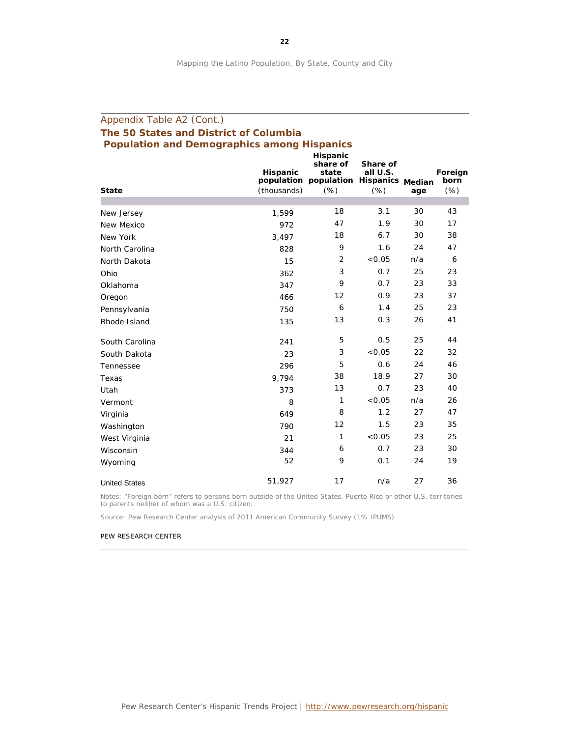# Appendix Table A2 (Cont.) **The 50 States and District of Columbia Population and Demographics among Hispanics**

|                      | Hispanic    | Hispanic<br>share of<br>state<br>population population Hispanics Median | Share of<br>all U.S. |     | Foreign<br>born |
|----------------------|-------------|-------------------------------------------------------------------------|----------------------|-----|-----------------|
| <b>State</b>         | (thousands) | (% )                                                                    | (% )                 | age | (% )            |
| New Jersey           | 1,599       | 18                                                                      | 3.1                  | 30  | 43              |
| New Mexico           | 972         | 47                                                                      | 1.9                  | 30  | 17              |
| New York             | 3,497       | 18                                                                      | 6.7                  | 30  | 38              |
| North Carolina       | 828         | 9                                                                       | 1.6                  | 24  | 47              |
| North Dakota         | 15          | 2                                                                       | < 0.05               | n/a | 6               |
| Ohio                 | 362         | 3                                                                       | 0.7                  | 25  | 23              |
| Oklahoma             | 347         | 9                                                                       | 0.7                  | 23  | 33              |
| Oregon               | 466         | 12                                                                      | 0.9                  | 23  | 37              |
| Pennsylvania         | 750         | 6                                                                       | 1.4                  | 25  | 23              |
| Rhode Island         | 135         | 13                                                                      | 0.3                  | 26  | 41              |
| South Carolina       | 241         | 5                                                                       | 0.5                  | 25  | 44              |
| South Dakota         | 23          | 3                                                                       | < 0.05               | 22  | 32              |
| Tennessee            | 296         | 5                                                                       | 0.6                  | 24  | 46              |
| Texas                | 9,794       | 38                                                                      | 18.9                 | 27  | 30              |
| Utah                 | 373         | 13                                                                      | 0.7                  | 23  | 40              |
| Vermont              | 8           | 1                                                                       | < 0.05               | n/a | 26              |
| Virginia             | 649         | 8                                                                       | 1.2                  | 27  | 47              |
| Washington           | 790         | 12                                                                      | 1.5                  | 23  | 35              |
| West Virginia        | 21          | 1                                                                       | < 0.05               | 23  | 25              |
| Wisconsin            | 344         | 6                                                                       | 0.7                  | 23  | 30              |
| Wyoming              | 52          | 9                                                                       | 0.1                  | 24  | 19              |
| <b>United States</b> | 51,927      | 17                                                                      | n/a                  | 27  | 36              |

Notes: "Foreign born" refers to persons born outside of the United States, Puerto Rico or other U.S. territories to parents neither of whom was a U.S. citizen.

Source: Pew Research Center analysis of 2011 American Community Survey (1% IPUMS)